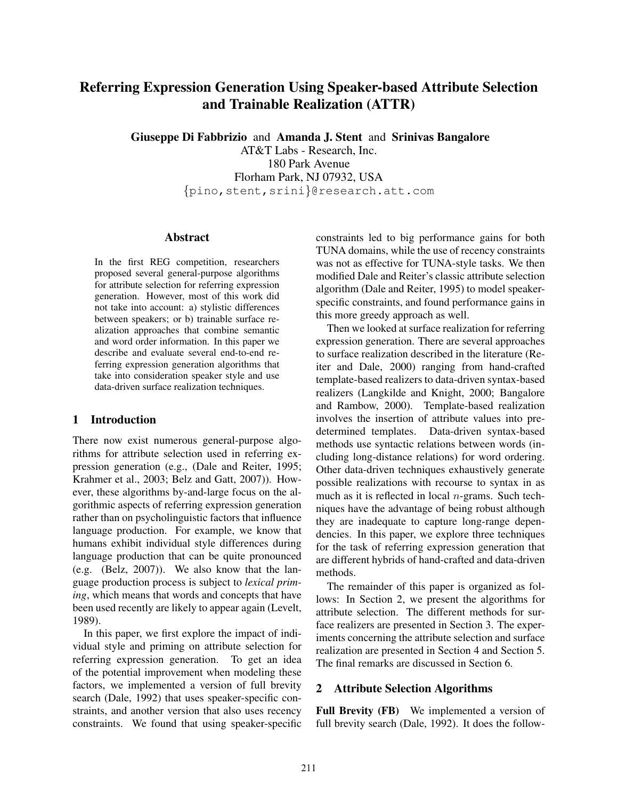# Referring Expression Generation Using Speaker-based Attribute Selection and Trainable Realization (ATTR)

Giuseppe Di Fabbrizio and Amanda J. Stent and Srinivas Bangalore

AT&T Labs - Research, Inc. 180 Park Avenue Florham Park, NJ 07932, USA {pino,stent,srini}@research.att.com

### Abstract

In the first REG competition, researchers proposed several general-purpose algorithms for attribute selection for referring expression generation. However, most of this work did not take into account: a) stylistic differences between speakers; or b) trainable surface realization approaches that combine semantic and word order information. In this paper we describe and evaluate several end-to-end referring expression generation algorithms that take into consideration speaker style and use data-driven surface realization techniques.

### 1 Introduction

There now exist numerous general-purpose algorithms for attribute selection used in referring expression generation (e.g., (Dale and Reiter, 1995; Krahmer et al., 2003; Belz and Gatt, 2007)). However, these algorithms by-and-large focus on the algorithmic aspects of referring expression generation rather than on psycholinguistic factors that influence language production. For example, we know that humans exhibit individual style differences during language production that can be quite pronounced (e.g. (Belz, 2007)). We also know that the language production process is subject to *lexical priming*, which means that words and concepts that have been used recently are likely to appear again (Levelt, 1989).

In this paper, we first explore the impact of individual style and priming on attribute selection for referring expression generation. To get an idea of the potential improvement when modeling these factors, we implemented a version of full brevity search (Dale, 1992) that uses speaker-specific constraints, and another version that also uses recency constraints. We found that using speaker-specific

constraints led to big performance gains for both TUNA domains, while the use of recency constraints was not as effective for TUNA-style tasks. We then modified Dale and Reiter's classic attribute selection algorithm (Dale and Reiter, 1995) to model speakerspecific constraints, and found performance gains in this more greedy approach as well.

Then we looked at surface realization for referring expression generation. There are several approaches to surface realization described in the literature (Reiter and Dale, 2000) ranging from hand-crafted template-based realizers to data-driven syntax-based realizers (Langkilde and Knight, 2000; Bangalore and Rambow, 2000). Template-based realization involves the insertion of attribute values into predetermined templates. Data-driven syntax-based methods use syntactic relations between words (including long-distance relations) for word ordering. Other data-driven techniques exhaustively generate possible realizations with recourse to syntax in as much as it is reflected in local  $n$ -grams. Such techniques have the advantage of being robust although they are inadequate to capture long-range dependencies. In this paper, we explore three techniques for the task of referring expression generation that are different hybrids of hand-crafted and data-driven methods.

The remainder of this paper is organized as follows: In Section 2, we present the algorithms for attribute selection. The different methods for surface realizers are presented in Section 3. The experiments concerning the attribute selection and surface realization are presented in Section 4 and Section 5. The final remarks are discussed in Section 6.

### 2 Attribute Selection Algorithms

Full Brevity (FB) We implemented a version of full brevity search (Dale, 1992). It does the follow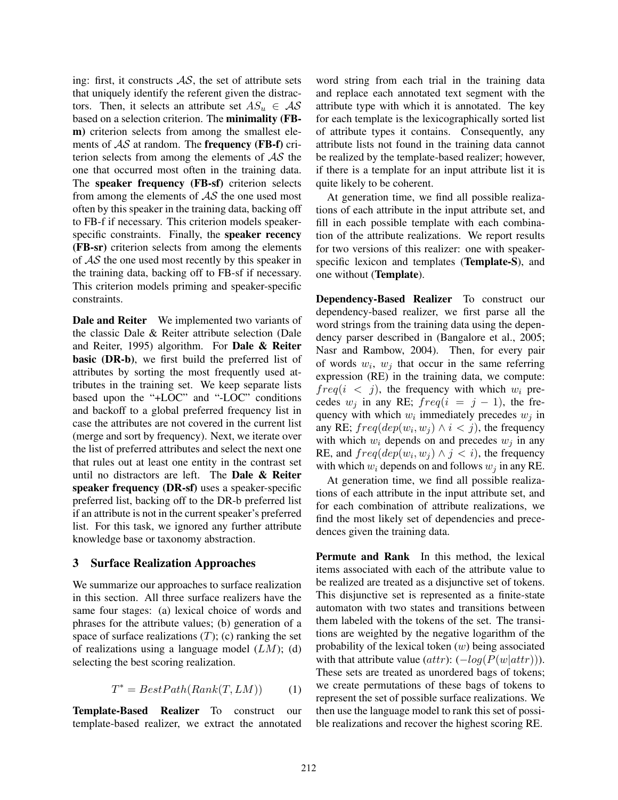ing: first, it constructs  $AS$ , the set of attribute sets that uniquely identify the referent given the distractors. Then, it selects an attribute set  $AS_u \in \mathcal{AS}$ based on a selection criterion. The minimality (FBm) criterion selects from among the smallest elements of  $\mathcal{AS}$  at random. The **frequency** (**FB-f**) criterion selects from among the elements of  $AS$  the one that occurred most often in the training data. The speaker frequency (FB-sf) criterion selects from among the elements of  $\mathcal{A}\mathcal{S}$  the one used most often by this speaker in the training data, backing off to FB-f if necessary. This criterion models speakerspecific constraints. Finally, the speaker recency (FB-sr) criterion selects from among the elements of AS the one used most recently by this speaker in the training data, backing off to FB-sf if necessary. This criterion models priming and speaker-specific constraints.

Dale and Reiter We implemented two variants of the classic Dale & Reiter attribute selection (Dale and Reiter, 1995) algorithm. For Dale & Reiter **basic (DR-b)**, we first build the preferred list of attributes by sorting the most frequently used attributes in the training set. We keep separate lists based upon the "+LOC" and "-LOC" conditions and backoff to a global preferred frequency list in case the attributes are not covered in the current list (merge and sort by frequency). Next, we iterate over the list of preferred attributes and select the next one that rules out at least one entity in the contrast set until no distractors are left. The **Dale**  $\&$  **Reiter** speaker frequency (DR-sf) uses a speaker-specific preferred list, backing off to the DR-b preferred list if an attribute is not in the current speaker's preferred list. For this task, we ignored any further attribute knowledge base or taxonomy abstraction.

### 3 Surface Realization Approaches

We summarize our approaches to surface realization in this section. All three surface realizers have the same four stages: (a) lexical choice of words and phrases for the attribute values; (b) generation of a space of surface realizations  $(T)$ ; (c) ranking the set of realizations using a language model  $(LM)$ ; (d) selecting the best scoring realization.

$$
T^* = BestPath(Rank(T, LM))
$$
 (1)

Template-Based Realizer To construct our template-based realizer, we extract the annotated word string from each trial in the training data and replace each annotated text segment with the attribute type with which it is annotated. The key for each template is the lexicographically sorted list of attribute types it contains. Consequently, any attribute lists not found in the training data cannot be realized by the template-based realizer; however, if there is a template for an input attribute list it is quite likely to be coherent.

At generation time, we find all possible realizations of each attribute in the input attribute set, and fill in each possible template with each combination of the attribute realizations. We report results for two versions of this realizer: one with speakerspecific lexicon and templates (Template-S), and one without (Template).

Dependency-Based Realizer To construct our dependency-based realizer, we first parse all the word strings from the training data using the dependency parser described in (Bangalore et al., 2005; Nasr and Rambow, 2004). Then, for every pair of words  $w_i$ ,  $w_j$  that occur in the same referring expression (RE) in the training data, we compute:  $freq(i \lt j)$ , the frequency with which  $w_i$  precedes  $w_j$  in any RE;  $freq(i = j - 1)$ , the frequency with which  $w_i$  immediately precedes  $w_j$  in any RE;  $freq(dep(w_i, w_j) \wedge i < j)$ , the frequency with which  $w_i$  depends on and precedes  $w_j$  in any RE, and  $freq(dep(w_i, w_j) \wedge j < i)$ , the frequency with which  $w_i$  depends on and follows  $w_j$  in any RE.

At generation time, we find all possible realizations of each attribute in the input attribute set, and for each combination of attribute realizations, we find the most likely set of dependencies and precedences given the training data.

Permute and Rank In this method, the lexical items associated with each of the attribute value to be realized are treated as a disjunctive set of tokens. This disjunctive set is represented as a finite-state automaton with two states and transitions between them labeled with the tokens of the set. The transitions are weighted by the negative logarithm of the probability of the lexical token  $(w)$  being associated with that attribute value  $(attr): (-log(P(w|attr))).$ These sets are treated as unordered bags of tokens; we create permutations of these bags of tokens to represent the set of possible surface realizations. We then use the language model to rank this set of possible realizations and recover the highest scoring RE.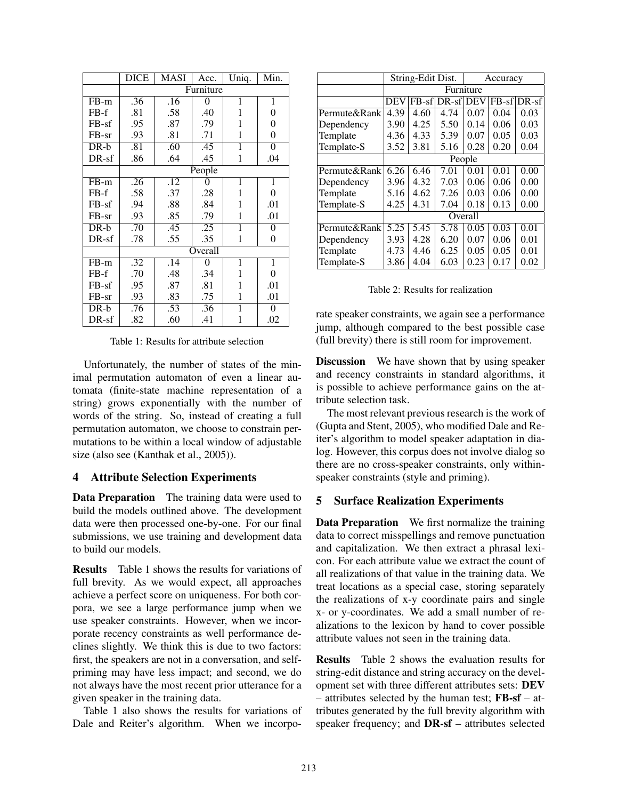|         | <b>DICE</b> | MASI | Acc.           | Uniq.          | Min.           |  |  |  |  |
|---------|-------------|------|----------------|----------------|----------------|--|--|--|--|
|         | Furniture   |      |                |                |                |  |  |  |  |
| $FB-m$  | .36         | .16  | $\overline{0}$ | 1              | $\mathbf{1}$   |  |  |  |  |
| $FB-f$  | .81         | .58  | .40            | 1              | 0              |  |  |  |  |
| $FB-sf$ | .95         | .87  | .79            | 1              | 0              |  |  |  |  |
| $FB-sr$ | .93         | .81  | .71            | 1              | 0              |  |  |  |  |
| $DR-b$  | .81         | .60  | .45            | 1              | 0              |  |  |  |  |
| $DR-sf$ | .86         | .64  | .45            | 1              | .04            |  |  |  |  |
|         | People      |      |                |                |                |  |  |  |  |
| $FB-m$  | .26         | .12  | $\Omega$       | $\overline{1}$ | 1              |  |  |  |  |
| $FB-f$  | .58         | .37  | .28            | 1              | 0              |  |  |  |  |
| $FB-sf$ | .94         | .88  | .84            | 1              | .01            |  |  |  |  |
| $FB-sr$ | .93         | .85  | .79            | 1              | .01            |  |  |  |  |
| $DR-b$  | .70         | .45  | .25            | 1              | 0              |  |  |  |  |
| $DR-sf$ | .78         | .55  | .35            | 1              | 0              |  |  |  |  |
|         | Overall     |      |                |                |                |  |  |  |  |
| $FB-m$  | .32         | .14  | $\theta$       | 1              | 1              |  |  |  |  |
| $FB-f$  | .70         | .48  | .34            | 1              | $\overline{0}$ |  |  |  |  |
| $FB-sf$ | .95         | .87  | .81            | 1              | .01            |  |  |  |  |
| $FB-sr$ | .93         | .83  | .75            | 1              | .01            |  |  |  |  |
| DR-b    | .76         | .53  | .36            | 1              | 0              |  |  |  |  |
| DR-sf   | .82         | .60  | .41            | 1              | .02            |  |  |  |  |

Table 1: Results for attribute selection

Unfortunately, the number of states of the minimal permutation automaton of even a linear automata (finite-state machine representation of a string) grows exponentially with the number of words of the string. So, instead of creating a full permutation automaton, we choose to constrain permutations to be within a local window of adjustable size (also see (Kanthak et al., 2005)).

### 4 Attribute Selection Experiments

**Data Preparation** The training data were used to build the models outlined above. The development data were then processed one-by-one. For our final submissions, we use training and development data to build our models.

Results Table 1 shows the results for variations of full brevity. As we would expect, all approaches achieve a perfect score on uniqueness. For both corpora, we see a large performance jump when we use speaker constraints. However, when we incorporate recency constraints as well performance declines slightly. We think this is due to two factors: first, the speakers are not in a conversation, and selfpriming may have less impact; and second, we do not always have the most recent prior utterance for a given speaker in the training data.

Table 1 also shows the results for variations of Dale and Reiter's algorithm. When we incorpo-

|              | String-Edit Dist. |      |                 | Accuracy |      |             |  |
|--------------|-------------------|------|-----------------|----------|------|-------------|--|
|              | Furniture         |      |                 |          |      |             |  |
|              | <b>DEV</b>        |      | FB-sf DR-sf DEV |          |      | FB-sflDR-sf |  |
| Permute&Rank | 4.39              | 4.60 | 4.74            | 0.07     | 0.04 | 0.03        |  |
| Dependency   | 3.90              | 4.25 | 5.50            | 0.14     | 0.06 | 0.03        |  |
| Template     | 4.36              | 4.33 | 5.39            | 0.07     | 0.05 | 0.03        |  |
| Template-S   | 3.52              | 3.81 | 5.16            | 0.28     | 0.20 | 0.04        |  |
|              | People            |      |                 |          |      |             |  |
| Permute&Rank | 6.26              | 6.46 | 7.01            | 0.01     | 0.01 | 0.00        |  |
| Dependency   | 3.96              | 4.32 | 7.03            | 0.06     | 0.06 | 0.00        |  |
| Template     | 5.16              | 4.62 | 7.26            | 0.03     | 0.06 | 0.00        |  |
| Template-S   | 4.25              | 4.31 | 7.04            | 0.18     | 0.13 | 0.00        |  |
|              | Overall           |      |                 |          |      |             |  |
| Permute&Rank | 5.25              | 5.45 | 5.78            | 0.05     | 0.03 | 0.01        |  |
| Dependency   | 3.93              | 4.28 | 6.20            | 0.07     | 0.06 | 0.01        |  |
| Template     | 4.73              | 4.46 | 6.25            | 0.05     | 0.05 | 0.01        |  |
| Template-S   | 3.86              | 4.04 | 6.03            | 0.23     | 0.17 | 0.02        |  |

Table 2: Results for realization

rate speaker constraints, we again see a performance jump, although compared to the best possible case (full brevity) there is still room for improvement.

Discussion We have shown that by using speaker and recency constraints in standard algorithms, it is possible to achieve performance gains on the attribute selection task.

The most relevant previous research is the work of (Gupta and Stent, 2005), who modified Dale and Reiter's algorithm to model speaker adaptation in dialog. However, this corpus does not involve dialog so there are no cross-speaker constraints, only withinspeaker constraints (style and priming).

## 5 Surface Realization Experiments

Data Preparation We first normalize the training data to correct misspellings and remove punctuation and capitalization. We then extract a phrasal lexicon. For each attribute value we extract the count of all realizations of that value in the training data. We treat locations as a special case, storing separately the realizations of x-y coordinate pairs and single x- or y-coordinates. We add a small number of realizations to the lexicon by hand to cover possible attribute values not seen in the training data.

Results Table 2 shows the evaluation results for string-edit distance and string accuracy on the development set with three different attributes sets: DEV – attributes selected by the human test; FB-sf – attributes generated by the full brevity algorithm with speaker frequency; and DR-sf – attributes selected